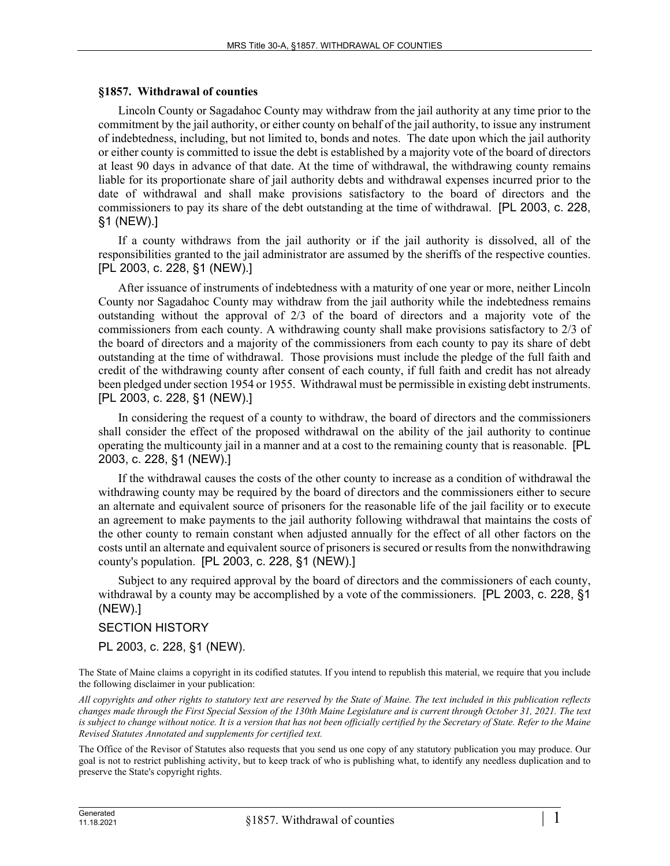## **§1857. Withdrawal of counties**

Lincoln County or Sagadahoc County may withdraw from the jail authority at any time prior to the commitment by the jail authority, or either county on behalf of the jail authority, to issue any instrument of indebtedness, including, but not limited to, bonds and notes. The date upon which the jail authority or either county is committed to issue the debt is established by a majority vote of the board of directors at least 90 days in advance of that date. At the time of withdrawal, the withdrawing county remains liable for its proportionate share of jail authority debts and withdrawal expenses incurred prior to the date of withdrawal and shall make provisions satisfactory to the board of directors and the commissioners to pay its share of the debt outstanding at the time of withdrawal. [PL 2003, c. 228, §1 (NEW).]

If a county withdraws from the jail authority or if the jail authority is dissolved, all of the responsibilities granted to the jail administrator are assumed by the sheriffs of the respective counties. [PL 2003, c. 228, §1 (NEW).]

After issuance of instruments of indebtedness with a maturity of one year or more, neither Lincoln County nor Sagadahoc County may withdraw from the jail authority while the indebtedness remains outstanding without the approval of 2/3 of the board of directors and a majority vote of the commissioners from each county. A withdrawing county shall make provisions satisfactory to 2/3 of the board of directors and a majority of the commissioners from each county to pay its share of debt outstanding at the time of withdrawal. Those provisions must include the pledge of the full faith and credit of the withdrawing county after consent of each county, if full faith and credit has not already been pledged under section 1954 or 1955. Withdrawal must be permissible in existing debt instruments. [PL 2003, c. 228, §1 (NEW).]

In considering the request of a county to withdraw, the board of directors and the commissioners shall consider the effect of the proposed withdrawal on the ability of the jail authority to continue operating the multicounty jail in a manner and at a cost to the remaining county that is reasonable. [PL 2003, c. 228, §1 (NEW).]

If the withdrawal causes the costs of the other county to increase as a condition of withdrawal the withdrawing county may be required by the board of directors and the commissioners either to secure an alternate and equivalent source of prisoners for the reasonable life of the jail facility or to execute an agreement to make payments to the jail authority following withdrawal that maintains the costs of the other county to remain constant when adjusted annually for the effect of all other factors on the costs until an alternate and equivalent source of prisoners is secured or results from the nonwithdrawing county's population. [PL 2003, c. 228, §1 (NEW).]

Subject to any required approval by the board of directors and the commissioners of each county, withdrawal by a county may be accomplished by a vote of the commissioners. [PL 2003, c. 228, §1 (NEW).]

## SECTION HISTORY

PL 2003, c. 228, §1 (NEW).

The State of Maine claims a copyright in its codified statutes. If you intend to republish this material, we require that you include the following disclaimer in your publication:

*All copyrights and other rights to statutory text are reserved by the State of Maine. The text included in this publication reflects changes made through the First Special Session of the 130th Maine Legislature and is current through October 31, 2021. The text*  is subject to change without notice. It is a version that has not been officially certified by the Secretary of State. Refer to the Maine *Revised Statutes Annotated and supplements for certified text.*

The Office of the Revisor of Statutes also requests that you send us one copy of any statutory publication you may produce. Our goal is not to restrict publishing activity, but to keep track of who is publishing what, to identify any needless duplication and to preserve the State's copyright rights.